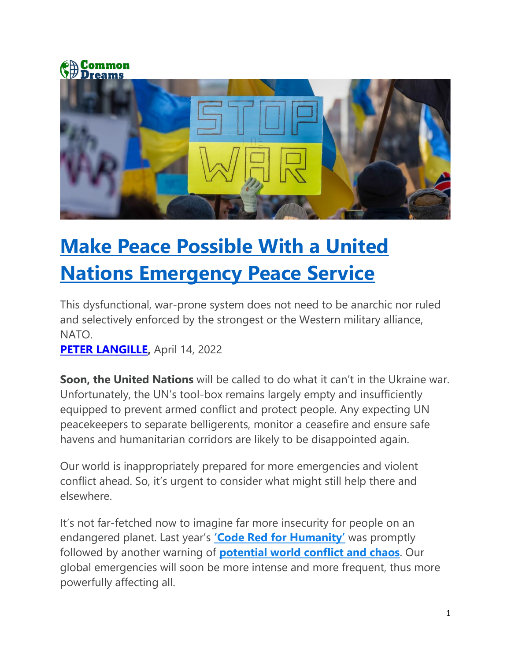



## **[Make Peace Possible With a United](https://www.commondreams.org/views/2022/04/14/make-peace-possible-united-nations-emergency-peace-service)  [Nations Emergency Peace Service](https://www.commondreams.org/views/2022/04/14/make-peace-possible-united-nations-emergency-peace-service)**

This dysfunctional, war-prone system does not need to be anarchic nor ruled and selectively enforced by the strongest or the Western military alliance, NATO.

**[PETER LANGILLE,](https://www.commondreams.org/author/peter-langille)** April 14, 2022

**Soon, the United Nations** will be called to do what it can't in the Ukraine war. Unfortunately, the UN's tool-box remains largely empty and insufficiently equipped to prevent armed conflict and protect people. Any expecting UN peacekeepers to separate belligerents, monitor a ceasefire and ensure safe havens and humanitarian corridors are likely to be disappointed again.

Our world is inappropriately prepared for more emergencies and violent conflict ahead. So, it's urgent to consider what might still help there and elsewhere.

It's not far-fetched now to imagine far more insecurity for people on an endangered planet. Last year's **['Code Red for Humanity'](https://www.un.org/press/en/2021/sgsm20847.doc.htm)** was promptly followed by another warning of **[potential world conflict and chaos](https://www.theguardian.com/environment/2021/oct/24/world-conflict-and-chaos-could-be-the-result-of-a-summit-failure)**. Our global emergencies will soon be more intense and more frequent, thus more powerfully affecting all.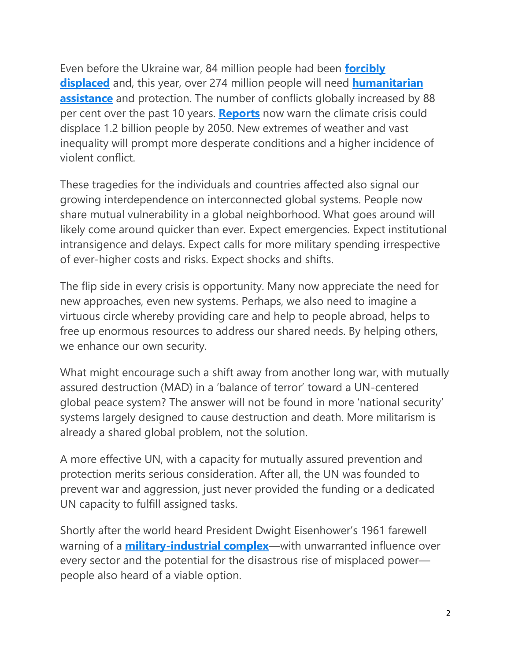Even before the Ukraine war, 84 million people had been **[forcibly](https://www.unhcr.org/refugee-statistics/)  [displaced](https://www.unhcr.org/refugee-statistics/)** and, this year, over 274 million people will need **[humanitarian](https://gho.unocha.org/)  [assistance](https://gho.unocha.org/)** and protection. The number of conflicts globally increased by 88 per cent over the past 10 years. **[Reports](https://www.theguardian.com/environment/2020/sep/09/climate-crisis-could-displace-12bn-people-by-2050-report-warns)** now warn the climate crisis could displace 1.2 billion people by 2050. New extremes of weather and vast inequality will prompt more desperate conditions and a higher incidence of violent conflict.

These tragedies for the individuals and countries affected also signal our growing interdependence on interconnected global systems. People now share mutual vulnerability in a global neighborhood. What goes around will likely come around quicker than ever. Expect emergencies. Expect institutional intransigence and delays. Expect calls for more military spending irrespective of ever-higher costs and risks. Expect shocks and shifts.

The flip side in every crisis is opportunity. Many now appreciate the need for new approaches, even new systems. Perhaps, we also need to imagine a virtuous circle whereby providing care and help to people abroad, helps to free up enormous resources to address our shared needs. By helping others, we enhance our own security.

What might encourage such a shift away from another long war, with mutually assured destruction (MAD) in a 'balance of terror' toward a UN-centered global peace system? The answer will not be found in more 'national security' systems largely designed to cause destruction and death. More militarism is already a shared global problem, not the solution.

A more effective UN, with a capacity for mutually assured prevention and protection merits serious consideration. After all, the UN was founded to prevent war and aggression, just never provided the funding or a dedicated UN capacity to fulfill assigned tasks.

Shortly after the world heard President Dwight Eisenhower's 1961 farewell warning of a **[military-industrial complex](https://www.archives.gov/milestone-documents/president-dwight-d-eisenhowers-farewell-address)**—with unwarranted influence over every sector and the potential for the disastrous rise of misplaced power people also heard of a viable option.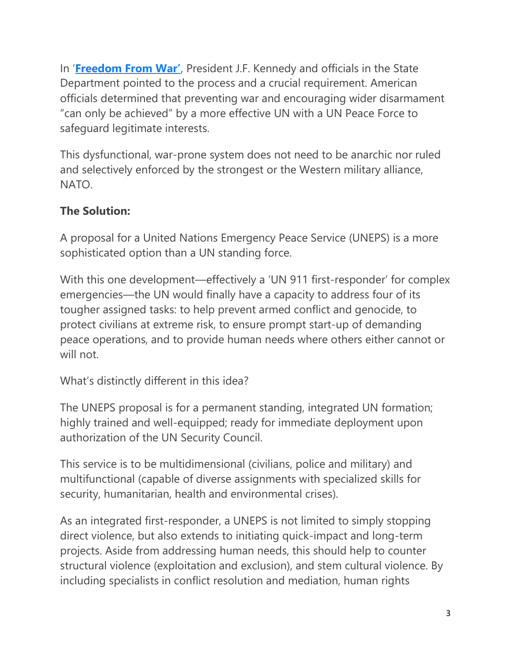In '**[Freedom From War'](https://archive.org/details/FreedomFromWar/page/n1/mode/2up)**, President J.F. Kennedy and officials in the State Department pointed to the process and a crucial requirement. American officials determined that preventing war and encouraging wider disarmament "can only be achieved" by a more effective UN with a UN Peace Force to safeguard legitimate interests.

This dysfunctional, war-prone system does not need to be anarchic nor ruled and selectively enforced by the strongest or the Western military alliance, NATO.

## **The Solution:**

A proposal for a United Nations Emergency Peace Service (UNEPS) is a more sophisticated option than a UN standing force.

With this one development—effectively a 'UN 911 first-responder' for complex emergencies—the UN would finally have a capacity to address four of its tougher assigned tasks: to help prevent armed conflict and genocide, to protect civilians at extreme risk, to ensure prompt start-up of demanding peace operations, and to provide human needs where others either cannot or will not.

What's distinctly different in this idea?

The UNEPS proposal is for a permanent standing, integrated UN formation; highly trained and well-equipped; ready for immediate deployment upon authorization of the UN Security Council.

This service is to be multidimensional (civilians, police and military) and multifunctional (capable of diverse assignments with specialized skills for security, humanitarian, health and environmental crises).

As an integrated first-responder, a UNEPS is not limited to simply stopping direct violence, but also extends to initiating quick-impact and long-term projects. Aside from addressing human needs, this should help to counter structural violence (exploitation and exclusion), and stem cultural violence. By including specialists in conflict resolution and mediation, human rights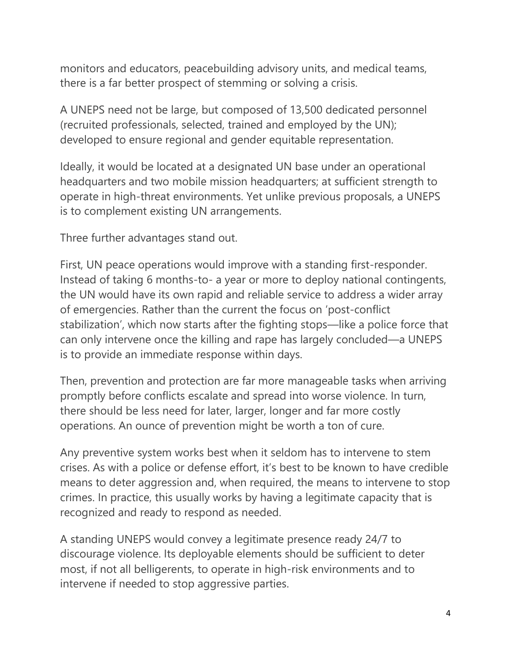monitors and educators, peacebuilding advisory units, and medical teams, there is a far better prospect of stemming or solving a crisis.

A UNEPS need not be large, but composed of 13,500 dedicated personnel (recruited professionals, selected, trained and employed by the UN); developed to ensure regional and gender equitable representation.

Ideally, it would be located at a designated UN base under an operational headquarters and two mobile mission headquarters; at sufficient strength to operate in high-threat environments. Yet unlike previous proposals, a UNEPS is to complement existing UN arrangements.

Three further advantages stand out.

First, UN peace operations would improve with a standing first-responder. Instead of taking 6 months-to- a year or more to deploy national contingents, the UN would have its own rapid and reliable service to address a wider array of emergencies. Rather than the current the focus on 'post-conflict stabilization', which now starts after the fighting stops—like a police force that can only intervene once the killing and rape has largely concluded—a UNEPS is to provide an immediate response within days.

Then, prevention and protection are far more manageable tasks when arriving promptly before conflicts escalate and spread into worse violence. In turn, there should be less need for later, larger, longer and far more costly operations. An ounce of prevention might be worth a ton of cure.

Any preventive system works best when it seldom has to intervene to stem crises. As with a police or defense effort, it's best to be known to have credible means to deter aggression and, when required, the means to intervene to stop crimes. In practice, this usually works by having a legitimate capacity that is recognized and ready to respond as needed.

A standing UNEPS would convey a legitimate presence ready 24/7 to discourage violence. Its deployable elements should be sufficient to deter most, if not all belligerents, to operate in high-risk environments and to intervene if needed to stop aggressive parties.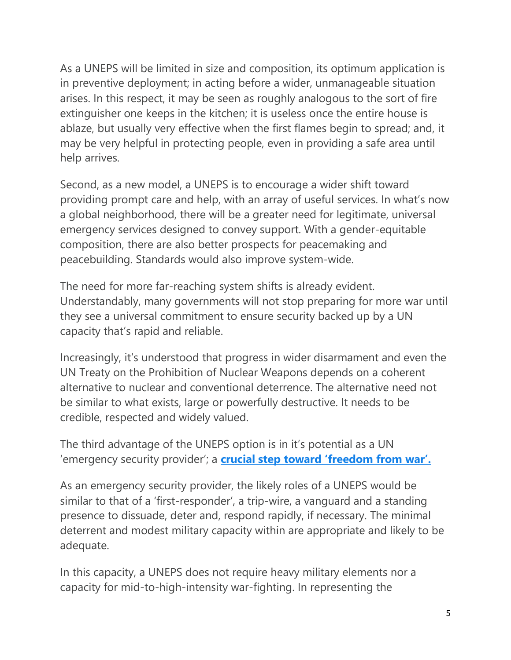As a UNEPS will be limited in size and composition, its optimum application is in preventive deployment; in acting before a wider, unmanageable situation arises. In this respect, it may be seen as roughly analogous to the sort of fire extinguisher one keeps in the kitchen; it is useless once the entire house is ablaze, but usually very effective when the first flames begin to spread; and, it may be very helpful in protecting people, even in providing a safe area until help arrives.

Second, as a new model, a UNEPS is to encourage a wider shift toward providing prompt care and help, with an array of useful services. In what's now a global neighborhood, there will be a greater need for legitimate, universal emergency services designed to convey support. With a gender-equitable composition, there are also better prospects for peacemaking and peacebuilding. Standards would also improve system-wide.

The need for more far-reaching system shifts is already evident. Understandably, many governments will not stop preparing for more war until they see a universal commitment to ensure security backed up by a UN capacity that's rapid and reliable.

Increasingly, it's understood that progress in wider disarmament and even the UN Treaty on the Prohibition of Nuclear Weapons depends on a coherent alternative to nuclear and conventional deterrence. The alternative need not be similar to what exists, large or powerfully destructive. It needs to be credible, respected and widely valued.

The third advantage of the UNEPS option is in it's potential as a UN 'emergency security provider'; a **[crucial step toward 'freedom from war'.](https://www.commondreams.org/views/2021/06/12/crucial-global-step-achieve-freedom-war)**

As an emergency security provider, the likely roles of a UNEPS would be similar to that of a 'first-responder', a trip-wire, a vanguard and a standing presence to dissuade, deter and, respond rapidly, if necessary. The minimal deterrent and modest military capacity within are appropriate and likely to be adequate.

In this capacity, a UNEPS does not require heavy military elements nor a capacity for mid-to-high-intensity war-fighting. In representing the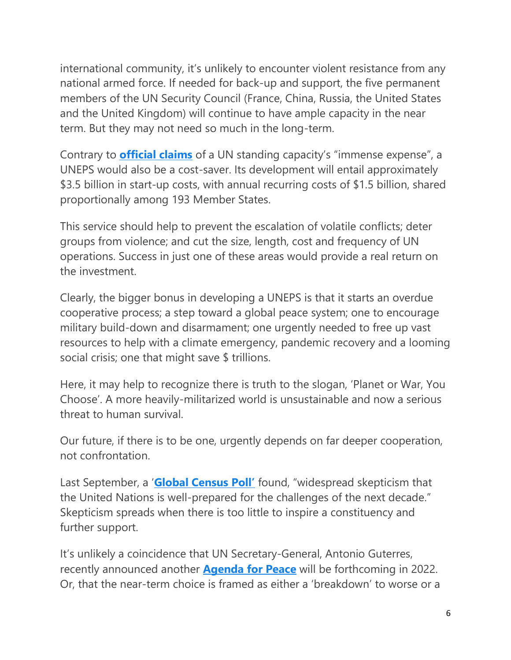international community, it's unlikely to encounter violent resistance from any national armed force. If needed for back-up and support, the five permanent members of the UN Security Council (France, China, Russia, the United States and the United Kingdom) will continue to have ample capacity in the near term. But they may not need so much in the long-term.

Contrary to **[official claims](https://peacekeeping.un.org/en/military)** of a UN standing capacity's "immense expense", a UNEPS would also be a cost-saver. Its development will entail approximately \$3.5 billion in start-up costs, with annual recurring costs of \$1.5 billion, shared proportionally among 193 Member States.

This service should help to prevent the escalation of volatile conflicts; deter groups from violence; and cut the size, length, cost and frequency of UN operations. Success in just one of these areas would provide a real return on the investment.

Clearly, the bigger bonus in developing a UNEPS is that it starts an overdue cooperative process; a step toward a global peace system; one to encourage military build-down and disarmament; one urgently needed to free up vast resources to help with a climate emergency, pandemic recovery and a looming social crisis; one that might save \$ trillions.

Here, it may help to recognize there is truth to the slogan, 'Planet or War, You Choose'. A more heavily-militarized world is unsustainable and now a serious threat to human survival.

Our future, if there is to be one, urgently depends on far deeper cooperation, not confrontation.

Last September, a '**[Global Census Poll'](https://ny.fes.de/article/global-census-poll)** found, "widespread skepticism that the United Nations is well-prepared for the challenges of the next decade." Skepticism spreads when there is too little to inspire a constituency and further support.

It's unlikely a coincidence that UN Secretary-General, Antonio Guterres, recently announced another **[Agenda for Peace](https://news.un.org/en/story/2021/09/1099522)** will be forthcoming in 2022. Or, that the near-term choice is framed as either a 'breakdown' to worse or a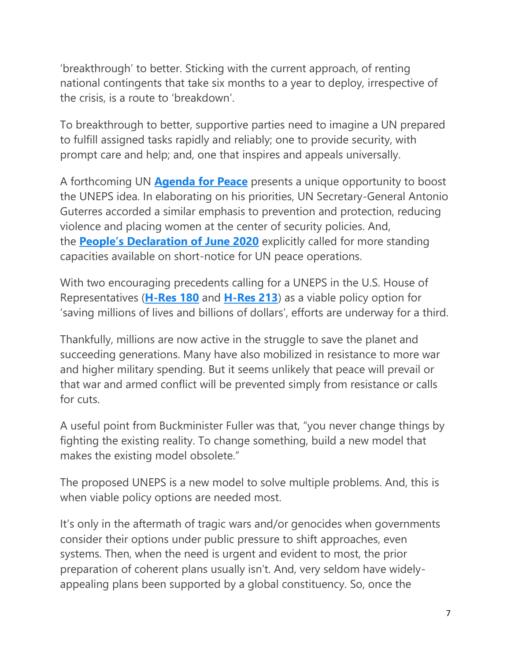'breakthrough' to better. Sticking with the current approach, of renting national contingents that take six months to a year to deploy, irrespective of the crisis, is a route to 'breakdown'.

To breakthrough to better, supportive parties need to imagine a UN prepared to fulfill assigned tasks rapidly and reliably; one to provide security, with prompt care and help; and, one that inspires and appeals universally.

A forthcoming UN **[Agenda for Peace](https://digitallibrary.un.org/record/145749?ln=en)** presents a unique opportunity to boost the UNEPS idea. In elaborating on his priorities, UN Secretary-General Antonio Guterres accorded a similar emphasis to prevention and protection, reducing violence and placing women at the center of security policies. And, the **[People's Declaration of June 2020](https://secureservercdn.net/198.71.233.184/b06.41d.myftpupload.com/wp-content/uploads/2020/05/Final-Peoples-Declaration-and-Plan-of-Global-Action-1.pdf?time=1589376036)** explicitly called for more standing capacities available on short-notice for UN peace operations.

With two encouraging precedents calling for a UNEPS in the U.S. House of Representatives (**[H-Res 180](https://www.govinfo.gov/app/details/BILLS-109hres180ih)** and **[H-Res 213](https://www.congress.gov/bill/110th-congress/house-resolution/213/all-info)**) as a viable policy option for 'saving millions of lives and billions of dollars', efforts are underway for a third.

Thankfully, millions are now active in the struggle to save the planet and succeeding generations. Many have also mobilized in resistance to more war and higher military spending. But it seems unlikely that peace will prevail or that war and armed conflict will be prevented simply from resistance or calls for cuts.

A useful point from Buckminister Fuller was that, "you never change things by fighting the existing reality. To change something, build a new model that makes the existing model obsolete."

The proposed UNEPS is a new model to solve multiple problems. And, this is when viable policy options are needed most.

It's only in the aftermath of tragic wars and/or genocides when governments consider their options under public pressure to shift approaches, even systems. Then, when the need is urgent and evident to most, the prior preparation of coherent plans usually isn't. And, very seldom have widelyappealing plans been supported by a global constituency. So, once the